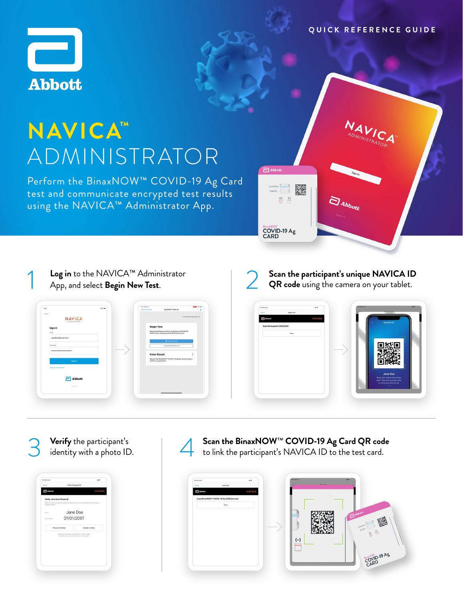### **Q U I C K R E F E R E N C E G U I D E**

**VALICATOR** 



# **NAVICA™** ADMINISTRATOR

Perform the BinaxNOW™ COVID-19 Ag Card test and communicate encrypted test results using the NAVICA™ Administrator App.

CONTROL ▓  $\begin{picture}(120,20) \put(0,0){\line(1,0){10}} \put(15,0){\line(1,0){10}} \put(15,0){\line(1,0){10}} \put(15,0){\line(1,0){10}} \put(15,0){\line(1,0){10}} \put(15,0){\line(1,0){10}} \put(15,0){\line(1,0){10}} \put(15,0){\line(1,0){10}} \put(15,0){\line(1,0){10}} \put(15,0){\line(1,0){10}} \put(15,0){\line(1,0){10}} \put(15,0){\line($ BinaxNOW<br>COVID-19 Ag<br>CARD

 $\exists$  Abbott

**Log in** to the NAVICA™ Administrator App, and select **Begin New Test**. 1



**Scan the participant's unique NAVICA ID QR code** using the camera on your tablet. 2

 $\bar{a}_{\scriptscriptstyle{a_{bb}}_{t}}$ 



**Verify** the participant's identity with a photo ID. 3